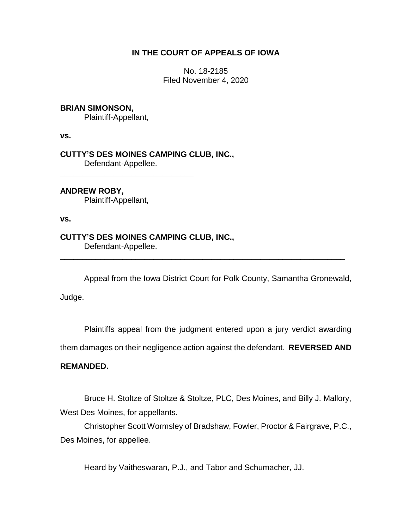## **IN THE COURT OF APPEALS OF IOWA**

No. 18-2185 Filed November 4, 2020

### **BRIAN SIMONSON,**

Plaintiff-Appellant,

**vs.**

# **CUTTY'S DES MOINES CAMPING CLUB, INC.,**

Defendant-Appellee.

**\_\_\_\_\_\_\_\_\_\_\_\_\_\_\_\_\_\_\_\_\_\_\_\_\_\_\_\_\_\_**

**ANDREW ROBY,** Plaintiff-Appellant,

**vs.**

#### **CUTTY'S DES MOINES CAMPING CLUB, INC.,** Defendant-Appellee.

Appeal from the Iowa District Court for Polk County, Samantha Gronewald,

\_\_\_\_\_\_\_\_\_\_\_\_\_\_\_\_\_\_\_\_\_\_\_\_\_\_\_\_\_\_\_\_\_\_\_\_\_\_\_\_\_\_\_\_\_\_\_\_\_\_\_\_\_\_\_\_\_\_\_\_\_\_\_\_

Judge.

Plaintiffs appeal from the judgment entered upon a jury verdict awarding

them damages on their negligence action against the defendant. **REVERSED AND** 

# **REMANDED.**

Bruce H. Stoltze of Stoltze & Stoltze, PLC, Des Moines, and Billy J. Mallory, West Des Moines, for appellants.

Christopher Scott Wormsley of Bradshaw, Fowler, Proctor & Fairgrave, P.C., Des Moines, for appellee.

Heard by Vaitheswaran, P.J., and Tabor and Schumacher, JJ.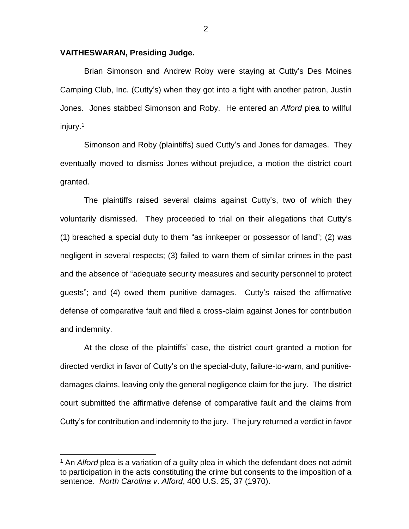#### **VAITHESWARAN, Presiding Judge.**

 $\overline{a}$ 

Brian Simonson and Andrew Roby were staying at Cutty's Des Moines Camping Club, Inc. (Cutty's) when they got into a fight with another patron, Justin Jones. Jones stabbed Simonson and Roby. He entered an *Alford* plea to willful injury.<sup>1</sup>

Simonson and Roby (plaintiffs) sued Cutty's and Jones for damages. They eventually moved to dismiss Jones without prejudice, a motion the district court granted.

The plaintiffs raised several claims against Cutty's, two of which they voluntarily dismissed. They proceeded to trial on their allegations that Cutty's (1) breached a special duty to them "as innkeeper or possessor of land"; (2) was negligent in several respects; (3) failed to warn them of similar crimes in the past and the absence of "adequate security measures and security personnel to protect guests"; and (4) owed them punitive damages. Cutty's raised the affirmative defense of comparative fault and filed a cross-claim against Jones for contribution and indemnity.

At the close of the plaintiffs' case, the district court granted a motion for directed verdict in favor of Cutty's on the special-duty, failure-to-warn, and punitivedamages claims, leaving only the general negligence claim for the jury. The district court submitted the affirmative defense of comparative fault and the claims from Cutty's for contribution and indemnity to the jury. The jury returned a verdict in favor

<sup>1</sup> An *Alford* plea is a variation of a guilty plea in which the defendant does not admit to participation in the acts constituting the crime but consents to the imposition of a sentence. *North Carolina v*. *Alford*, 400 U.S. 25, 37 (1970).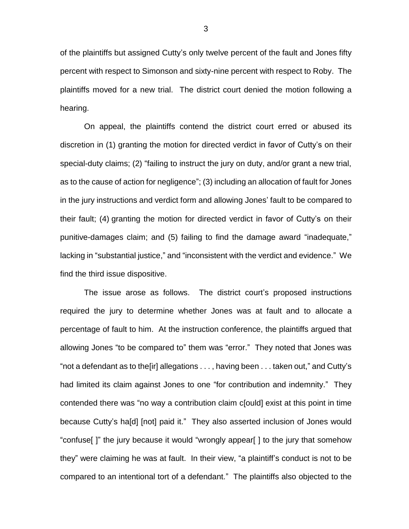of the plaintiffs but assigned Cutty's only twelve percent of the fault and Jones fifty percent with respect to Simonson and sixty-nine percent with respect to Roby. The plaintiffs moved for a new trial. The district court denied the motion following a hearing.

On appeal, the plaintiffs contend the district court erred or abused its discretion in (1) granting the motion for directed verdict in favor of Cutty's on their special-duty claims; (2) "failing to instruct the jury on duty, and/or grant a new trial, as to the cause of action for negligence"; (3) including an allocation of fault for Jones in the jury instructions and verdict form and allowing Jones' fault to be compared to their fault; (4) granting the motion for directed verdict in favor of Cutty's on their punitive-damages claim; and (5) failing to find the damage award "inadequate," lacking in "substantial justice," and "inconsistent with the verdict and evidence." We find the third issue dispositive.

The issue arose as follows. The district court's proposed instructions required the jury to determine whether Jones was at fault and to allocate a percentage of fault to him. At the instruction conference, the plaintiffs argued that allowing Jones "to be compared to" them was "error." They noted that Jones was "not a defendant as to the[ir] allegations . . . , having been . . . taken out," and Cutty's had limited its claim against Jones to one "for contribution and indemnity." They contended there was "no way a contribution claim c[ould] exist at this point in time because Cutty's ha[d] [not] paid it." They also asserted inclusion of Jones would "confuse[ ]" the jury because it would "wrongly appear[ ] to the jury that somehow they" were claiming he was at fault. In their view, "a plaintiff's conduct is not to be compared to an intentional tort of a defendant." The plaintiffs also objected to the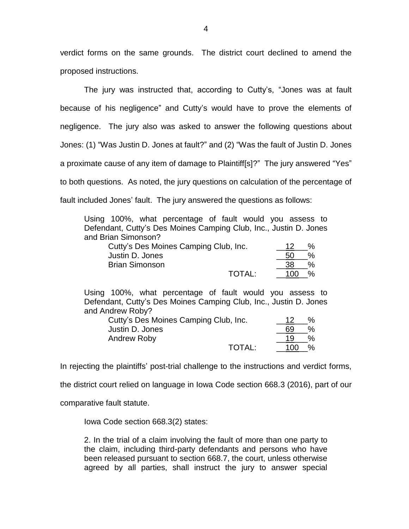verdict forms on the same grounds. The district court declined to amend the proposed instructions.

The jury was instructed that, according to Cutty's, "Jones was at fault because of his negligence" and Cutty's would have to prove the elements of negligence. The jury also was asked to answer the following questions about Jones: (1) "Was Justin D. Jones at fault?" and (2) "Was the fault of Justin D. Jones a proximate cause of any item of damage to Plaintiff[s]?" The jury answered "Yes" to both questions. As noted, the jury questions on calculation of the percentage of fault included Jones' fault. The jury answered the questions as follows:

Using 100%, what percentage of fault would you assess to Defendant, Cutty's Des Moines Camping Club, Inc., Justin D. Jones and Brian Simonson?

| Cutty's Des Moines Camping Club, Inc. |        |     |               |
|---------------------------------------|--------|-----|---------------|
| Justin D. Jones                       |        |     | $\frac{0}{2}$ |
| <b>Brian Simonson</b>                 |        |     |               |
|                                       | TOTAL: | 100 | $\frac{0}{6}$ |

Using 100%, what percentage of fault would you assess to Defendant, Cutty's Des Moines Camping Club, Inc., Justin D. Jones and Andrew Roby?

| Cutty's Des Moines Camping Club, Inc. |        |     | % |
|---------------------------------------|--------|-----|---|
| Justin D. Jones                       |        | 69  | % |
| Andrew Roby                           |        | 19  | % |
|                                       | TOTAL: | 100 | % |

In rejecting the plaintiffs' post-trial challenge to the instructions and verdict forms,

the district court relied on language in Iowa Code section 668.3 (2016), part of our

comparative fault statute.

Iowa Code section 668.3(2) states:

2. In the trial of a claim involving the fault of more than one party to the claim, including third-party defendants and persons who have been released pursuant to section 668.7, the court, unless otherwise agreed by all parties, shall instruct the jury to answer special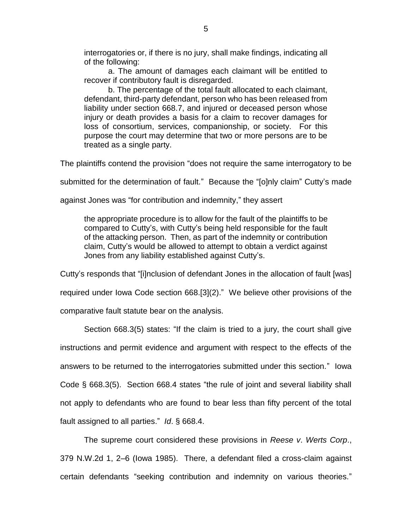interrogatories or, if there is no jury, shall make findings, indicating all of the following:

a. The amount of damages each claimant will be entitled to recover if contributory fault is disregarded.

b. The percentage of the total fault allocated to each claimant, defendant, third-party defendant, person who has been released from liability under section 668.7, and injured or deceased person whose injury or death provides a basis for a claim to recover damages for loss of consortium, services, companionship, or society. For this purpose the court may determine that two or more persons are to be treated as a single party.

The plaintiffs contend the provision "does not require the same interrogatory to be

submitted for the determination of fault." Because the "[o]nly claim" Cutty's made

against Jones was "for contribution and indemnity," they assert

the appropriate procedure is to allow for the fault of the plaintiffs to be compared to Cutty's, with Cutty's being held responsible for the fault of the attacking person. Then, as part of the indemnity or contribution claim, Cutty's would be allowed to attempt to obtain a verdict against Jones from any liability established against Cutty's.

Cutty's responds that "[i]nclusion of defendant Jones in the allocation of fault [was]

required under Iowa Code section 668.[3](2)." We believe other provisions of the

comparative fault statute bear on the analysis.

Section 668.3(5) states: "If the claim is tried to a jury, the court shall give instructions and permit evidence and argument with respect to the effects of the answers to be returned to the interrogatories submitted under this section." Iowa Code § 668.3(5). Section 668.4 states "the rule of joint and several liability shall not apply to defendants who are found to bear less than fifty percent of the total fault assigned to all parties." *Id*. § 668.4.

The supreme court considered these provisions in *Reese v*. *Werts Corp*., 379 N.W.2d 1, 2–6 (Iowa 1985). There, a defendant filed a cross-claim against certain defendants "seeking contribution and indemnity on various theories."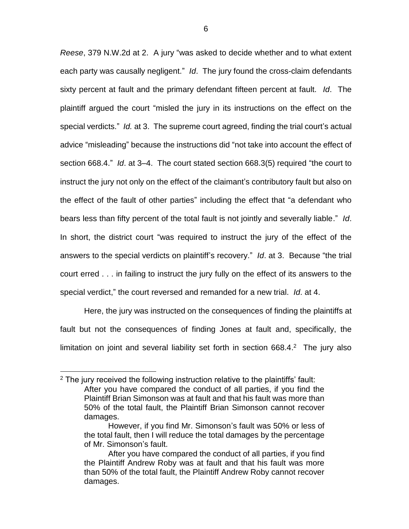*Reese*, 379 N.W.2d at 2. A jury "was asked to decide whether and to what extent each party was causally negligent." *Id*. The jury found the cross-claim defendants sixty percent at fault and the primary defendant fifteen percent at fault. *Id*. The plaintiff argued the court "misled the jury in its instructions on the effect on the special verdicts." *Id.* at 3. The supreme court agreed, finding the trial court's actual advice "misleading" because the instructions did "not take into account the effect of section 668.4." *Id*. at 3–4. The court stated section 668.3(5) required "the court to instruct the jury not only on the effect of the claimant's contributory fault but also on the effect of the fault of other parties" including the effect that "a defendant who bears less than fifty percent of the total fault is not jointly and severally liable." *Id*. In short, the district court "was required to instruct the jury of the effect of the answers to the special verdicts on plaintiff's recovery." *Id*. at 3. Because "the trial court erred . . . in failing to instruct the jury fully on the effect of its answers to the special verdict," the court reversed and remanded for a new trial. *Id*. at 4.

Here, the jury was instructed on the consequences of finding the plaintiffs at fault but not the consequences of finding Jones at fault and, specifically, the limitation on joint and several liability set forth in section  $668.4.^2$  The jury also

 $\overline{a}$ 

 $2$  The jury received the following instruction relative to the plaintiffs' fault: After you have compared the conduct of all parties, if you find the Plaintiff Brian Simonson was at fault and that his fault was more than 50% of the total fault, the Plaintiff Brian Simonson cannot recover damages.

However, if you find Mr. Simonson's fault was 50% or less of the total fault, then I will reduce the total damages by the percentage of Mr. Simonson's fault.

After you have compared the conduct of all parties, if you find the Plaintiff Andrew Roby was at fault and that his fault was more than 50% of the total fault, the Plaintiff Andrew Roby cannot recover damages.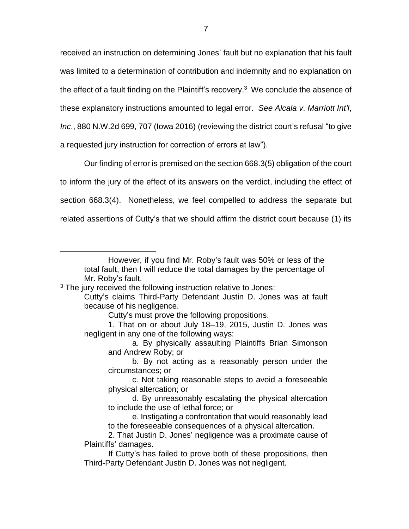received an instruction on determining Jones' fault but no explanation that his fault was limited to a determination of contribution and indemnity and no explanation on the effect of a fault finding on the Plaintiff's recovery.<sup>3</sup> We conclude the absence of these explanatory instructions amounted to legal error. *See Alcala v*. *Marriott Int'l*, *Inc*., 880 N.W.2d 699, 707 (Iowa 2016) (reviewing the district court's refusal "to give a requested jury instruction for correction of errors at law").

Our finding of error is premised on the section 668.3(5) obligation of the court to inform the jury of the effect of its answers on the verdict, including the effect of section 668.3(4). Nonetheless, we feel compelled to address the separate but related assertions of Cutty's that we should affirm the district court because (1) its

 $\overline{a}$ 

However, if you find Mr. Roby's fault was 50% or less of the total fault, then I will reduce the total damages by the percentage of Mr. Roby's fault.

<sup>&</sup>lt;sup>3</sup> The jury received the following instruction relative to Jones:

Cutty's claims Third-Party Defendant Justin D. Jones was at fault because of his negligence.

Cutty's must prove the following propositions.

<sup>1.</sup> That on or about July 18–19, 2015, Justin D. Jones was negligent in any one of the following ways:

a. By physically assaulting Plaintiffs Brian Simonson and Andrew Roby; or

b. By not acting as a reasonably person under the circumstances; or

c. Not taking reasonable steps to avoid a foreseeable physical altercation; or

d. By unreasonably escalating the physical altercation to include the use of lethal force; or

e. Instigating a confrontation that would reasonably lead to the foreseeable consequences of a physical altercation.

<sup>2.</sup> That Justin D. Jones' negligence was a proximate cause of Plaintiffs' damages.

If Cutty's has failed to prove both of these propositions, then Third-Party Defendant Justin D. Jones was not negligent.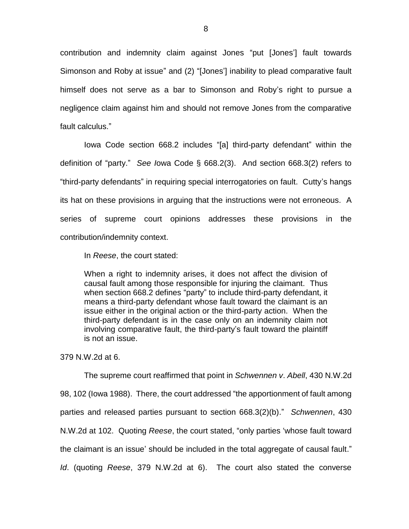contribution and indemnity claim against Jones "put [Jones'] fault towards Simonson and Roby at issue" and (2) "[Jones'] inability to plead comparative fault himself does not serve as a bar to Simonson and Roby's right to pursue a negligence claim against him and should not remove Jones from the comparative fault calculus."

Iowa Code section 668.2 includes "[a] third-party defendant" within the definition of "party." *See I*owa Code § 668.2(3). And section 668.3(2) refers to "third-party defendants" in requiring special interrogatories on fault. Cutty's hangs its hat on these provisions in arguing that the instructions were not erroneous. A series of supreme court opinions addresses these provisions in the contribution/indemnity context.

In *Reese*, the court stated:

When a right to indemnity arises, it does not affect the division of causal fault among those responsible for injuring the claimant. Thus when section 668.2 defines "party" to include third-party defendant, it means a third-party defendant whose fault toward the claimant is an issue either in the original action or the third-party action. When the third-party defendant is in the case only on an indemnity claim not involving comparative fault, the third-party's fault toward the plaintiff is not an issue.

379 N.W.2d at 6.

The supreme court reaffirmed that point in *Schwennen v*. *Abell*, 430 N.W.2d 98, 102 (Iowa 1988). There, the court addressed "the apportionment of fault among parties and released parties pursuant to section 668.3(2)(b)." *Schwennen*, 430 N.W.2d at 102. Quoting *Reese*, the court stated, "only parties 'whose fault toward the claimant is an issue' should be included in the total aggregate of causal fault." *Id*. (quoting *Reese*, 379 N.W.2d at 6). The court also stated the converse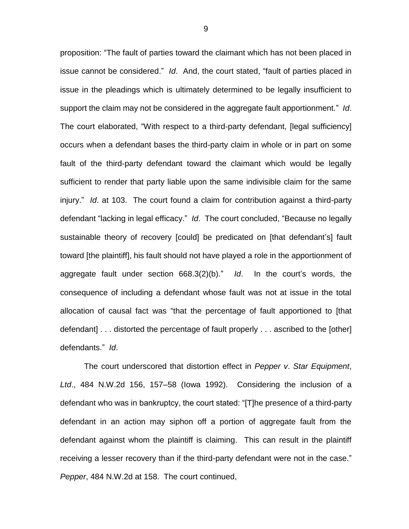proposition: "The fault of parties toward the claimant which has not been placed in issue cannot be considered." *Id*. And, the court stated, "fault of parties placed in issue in the pleadings which is ultimately determined to be legally insufficient to support the claim may not be considered in the aggregate fault apportionment." *Id*. The court elaborated, "With respect to a third-party defendant, [legal sufficiency] occurs when a defendant bases the third-party claim in whole or in part on some fault of the third-party defendant toward the claimant which would be legally sufficient to render that party liable upon the same indivisible claim for the same injury." *Id*. at 103. The court found a claim for contribution against a third-party defendant "lacking in legal efficacy." *Id*. The court concluded, "Because no legally sustainable theory of recovery [could] be predicated on [that defendant's] fault toward [the plaintiff], his fault should not have played a role in the apportionment of aggregate fault under section 668.3(2)(b)." *Id*. In the court's words, the consequence of including a defendant whose fault was not at issue in the total allocation of causal fact was "that the percentage of fault apportioned to [that defendant] . . . distorted the percentage of fault properly . . . ascribed to the [other] defendants." *Id*.

The court underscored that distortion effect in *Pepper v*. *Star Equipment*, *Ltd*., 484 N.W.2d 156, 157–58 (Iowa 1992). Considering the inclusion of a defendant who was in bankruptcy, the court stated: "[T]he presence of a third-party defendant in an action may siphon off a portion of aggregate fault from the defendant against whom the plaintiff is claiming. This can result in the plaintiff receiving a lesser recovery than if the third-party defendant were not in the case." *Pepper*, 484 N.W.2d at 158. The court continued,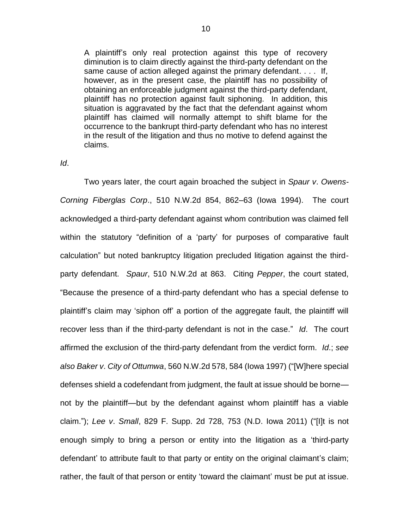A plaintiff's only real protection against this type of recovery diminution is to claim directly against the third-party defendant on the same cause of action alleged against the primary defendant. . . . If, however, as in the present case, the plaintiff has no possibility of obtaining an enforceable judgment against the third-party defendant, plaintiff has no protection against fault siphoning. In addition, this situation is aggravated by the fact that the defendant against whom plaintiff has claimed will normally attempt to shift blame for the occurrence to the bankrupt third-party defendant who has no interest in the result of the litigation and thus no motive to defend against the claims.

*Id*.

Two years later, the court again broached the subject in *Spaur v*. *Owens-Corning Fiberglas Corp*., 510 N.W.2d 854, 862–63 (Iowa 1994). The court acknowledged a third-party defendant against whom contribution was claimed fell within the statutory "definition of a 'party' for purposes of comparative fault calculation" but noted bankruptcy litigation precluded litigation against the thirdparty defendant. *Spaur*, 510 N.W.2d at 863. Citing *Pepper*, the court stated, "Because the presence of a third-party defendant who has a special defense to plaintiff's claim may 'siphon off' a portion of the aggregate fault, the plaintiff will recover less than if the third-party defendant is not in the case." *Id*. The court affirmed the exclusion of the third-party defendant from the verdict form. *Id*.; *see also Baker v*. *City of Ottumwa*, 560 N.W.2d 578, 584 (Iowa 1997) ("[W]here special defenses shield a codefendant from judgment, the fault at issue should be borne not by the plaintiff—but by the defendant against whom plaintiff has a viable claim."); *Lee v*. *Small*, 829 F. Supp. 2d 728, 753 (N.D. Iowa 2011) ("[I]t is not enough simply to bring a person or entity into the litigation as a 'third-party defendant' to attribute fault to that party or entity on the original claimant's claim; rather, the fault of that person or entity 'toward the claimant' must be put at issue.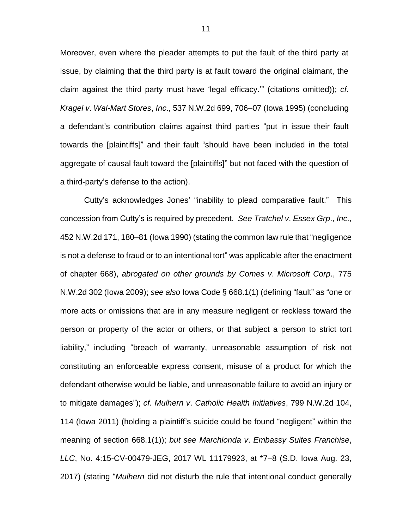Moreover, even where the pleader attempts to put the fault of the third party at issue, by claiming that the third party is at fault toward the original claimant, the claim against the third party must have 'legal efficacy.'" (citations omitted)); *cf*. *Kragel v*. *Wal-Mart Stores*, *Inc*., 537 N.W.2d 699, 706–07 (Iowa 1995) (concluding a defendant's contribution claims against third parties "put in issue their fault towards the [plaintiffs]" and their fault "should have been included in the total aggregate of causal fault toward the [plaintiffs]" but not faced with the question of a third-party's defense to the action).

Cutty's acknowledges Jones' "inability to plead comparative fault." This concession from Cutty's is required by precedent. *See Tratchel v*. *Essex Grp*., *Inc*., 452 N.W.2d 171, 180–81 (Iowa 1990) (stating the common law rule that "negligence is not a defense to fraud or to an intentional tort" was applicable after the enactment of chapter 668), *abrogated on other grounds by Comes v*. *Microsoft Corp*., 775 N.W.2d 302 (Iowa 2009); *see also* Iowa Code § 668.1(1) (defining "fault" as "one or more acts or omissions that are in any measure negligent or reckless toward the person or property of the actor or others, or that subject a person to strict tort liability," including "breach of warranty, unreasonable assumption of risk not constituting an enforceable express consent, misuse of a product for which the defendant otherwise would be liable, and unreasonable failure to avoid an injury or to mitigate damages"); *cf*. *Mulhern v*. *Catholic Health Initiatives*, 799 N.W.2d 104, 114 (Iowa 2011) (holding a plaintiff's suicide could be found "negligent" within the meaning of section 668.1(1)); *but see Marchionda v*. *Embassy Suites Franchise*, *LLC*, No. 4:15-CV-00479-JEG, 2017 WL 11179923, at \*7–8 (S.D. Iowa Aug. 23, 2017) (stating "*Mulhern* did not disturb the rule that intentional conduct generally

11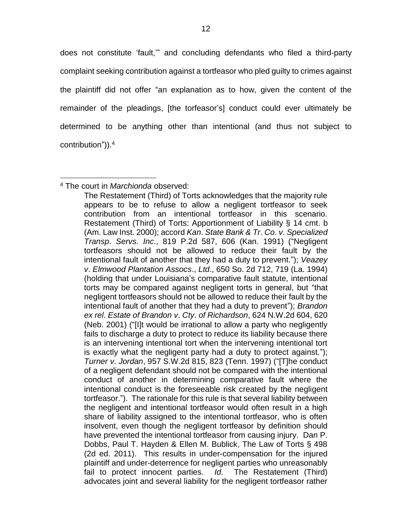does not constitute 'fault,'" and concluding defendants who filed a third-party complaint seeking contribution against a tortfeasor who pled guilty to crimes against the plaintiff did not offer "an explanation as to how, given the content of the remainder of the pleadings, [the torfeasor's] conduct could ever ultimately be determined to be anything other than intentional (and thus not subject to contribution")).<sup>4</sup>

 $\overline{a}$ <sup>4</sup> The court in *Marchionda* observed:

The Restatement (Third) of Torts acknowledges that the majority rule appears to be to refuse to allow a negligent tortfeasor to seek contribution from an intentional tortfeasor in this scenario. Restatement (Third) of Torts: Apportionment of Liability § 14 cmt. b (Am. Law Inst. 2000); accord *Kan*. *State Bank & Tr*. *Co*. *v*. *Specialized Transp*. *Servs*. *Inc*., 819 P.2d 587, 606 (Kan. 1991) ("Negligent tortfeasors should not be allowed to reduce their fault by the intentional fault of another that they had a duty to prevent."); *Veazey v*. *Elmwood Plantation Assocs*., *Ltd*., 650 So. 2d 712, 719 (La. 1994) (holding that under Louisiana's comparative fault statute, intentional torts may be compared against negligent torts in general, but "that negligent tortfeasors should not be allowed to reduce their fault by the intentional fault of another that they had a duty to prevent"); *Brandon ex rel*. *Estate of Brandon v*. *Cty*. *of Richardson*, 624 N.W.2d 604, 620 (Neb. 2001) ("[I]t would be irrational to allow a party who negligently fails to discharge a duty to protect to reduce its liability because there is an intervening intentional tort when the intervening intentional tort is exactly what the negligent party had a duty to protect against."); *Turner v*. *Jordan*, 957 S.W.2d 815, 823 (Tenn. 1997) ("[T]he conduct of a negligent defendant should not be compared with the intentional conduct of another in determining comparative fault where the intentional conduct is the foreseeable risk created by the negligent tortfeasor."). The rationale for this rule is that several liability between the negligent and intentional tortfeasor would often result in a high share of liability assigned to the intentional tortfeasor, who is often insolvent, even though the negligent tortfeasor by definition should have prevented the intentional tortfeasor from causing injury. Dan P. Dobbs, Paul T. Hayden & Ellen M. Bublick, The Law of Torts § 498 (2d ed. 2011). This results in under-compensation for the injured plaintiff and under-deterrence for negligent parties who unreasonably fail to protect innocent parties. *Id*. The Restatement (Third) advocates joint and several liability for the negligent tortfeasor rather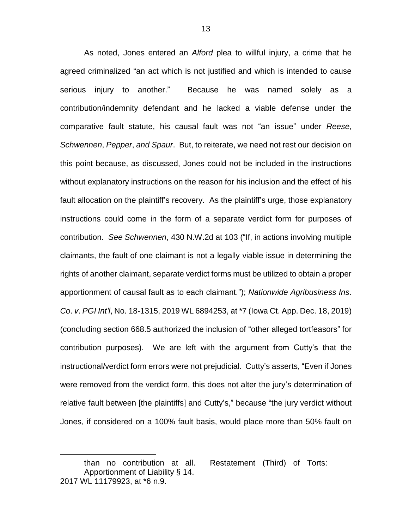As noted, Jones entered an *Alford* plea to willful injury, a crime that he agreed criminalized "an act which is not justified and which is intended to cause serious injury to another." Because he was named solely as a contribution/indemnity defendant and he lacked a viable defense under the comparative fault statute, his causal fault was not "an issue" under *Reese*, *Schwennen*, *Pepper*, *and Spaur*. But, to reiterate, we need not rest our decision on this point because, as discussed, Jones could not be included in the instructions without explanatory instructions on the reason for his inclusion and the effect of his fault allocation on the plaintiff's recovery. As the plaintiff's urge, those explanatory instructions could come in the form of a separate verdict form for purposes of contribution. *See Schwennen*, 430 N.W.2d at 103 ("If, in actions involving multiple claimants, the fault of one claimant is not a legally viable issue in determining the rights of another claimant, separate verdict forms must be utilized to obtain a proper apportionment of causal fault as to each claimant."); *Nationwide Agribusiness Ins*. *Co*. *v*. *PGI Int'l*, No. 18-1315, 2019 WL 6894253, at \*7 (Iowa Ct. App. Dec. 18, 2019) (concluding section 668.5 authorized the inclusion of "other alleged tortfeasors" for contribution purposes). We are left with the argument from Cutty's that the instructional/verdict form errors were not prejudicial. Cutty's asserts, "Even if Jones were removed from the verdict form, this does not alter the jury's determination of relative fault between [the plaintiffs] and Cutty's," because "the jury verdict without Jones, if considered on a 100% fault basis, would place more than 50% fault on

 $\overline{a}$ 

than no contribution at all. Restatement (Third) of Torts: Apportionment of Liability § 14. 2017 WL 11179923, at \*6 n.9.